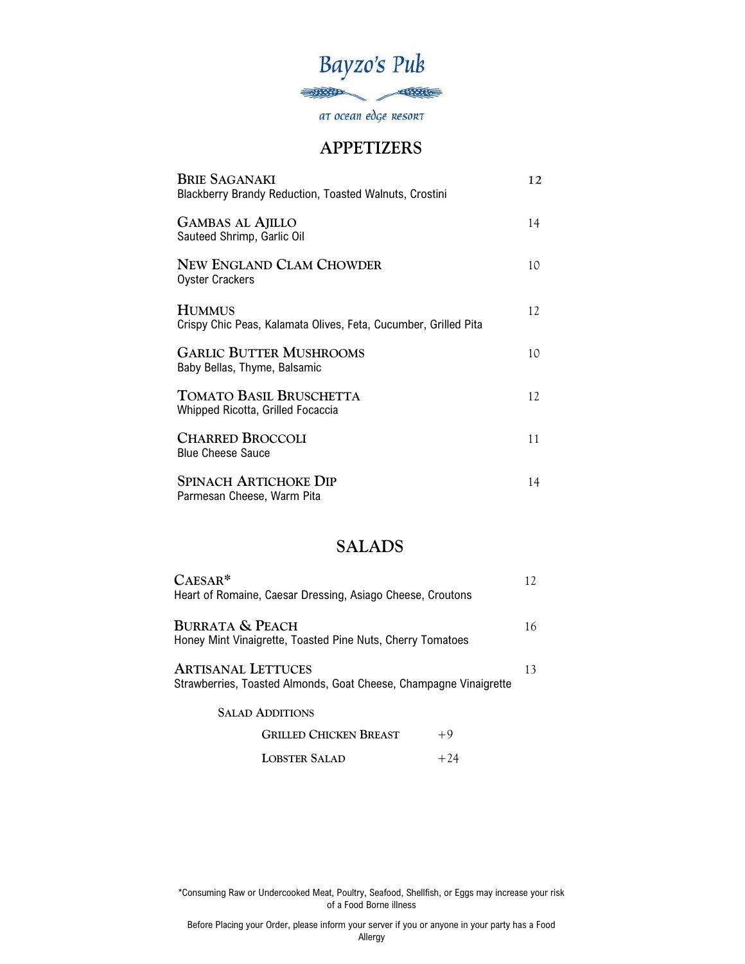

at ocean edge Resort

#### **APPETIZERS**

| <b>BRIE SAGANAKI</b><br><b>Blackberry Brandy Reduction, Toasted Walnuts, Crostini</b> | 12 |
|---------------------------------------------------------------------------------------|----|
| <b>GAMBAS AL AJILLO</b><br>Sauteed Shrimp, Garlic Oil                                 | 14 |
| NEW ENGLAND CLAM CHOWDER<br><b>Oyster Crackers</b>                                    | 10 |
| <b>HUMMUS</b><br>Crispy Chic Peas, Kalamata Olives, Feta, Cucumber, Grilled Pita      | 12 |
| <b>GARLIC BUTTER MUSHROOMS</b><br>Baby Bellas, Thyme, Balsamic                        | 10 |
| <b>TOMATO BASIL BRUSCHETTA</b><br>Whipped Ricotta, Grilled Focaccia                   | 12 |
| <b>CHARRED BROCCOLI</b><br><b>Blue Cheese Sauce</b>                                   | 11 |
| <b>SPINACH ARTICHOKE DIP</b><br>Parmesan Cheese, Warm Pita                            | 14 |

# **SALADS**

| $CASESAR*$<br>Heart of Romaine, Caesar Dressing, Asiago Cheese, Croutons                       |    |
|------------------------------------------------------------------------------------------------|----|
| <b>BURRATA &amp; PEACH</b><br>Honey Mint Vinaigrette, Toasted Pine Nuts, Cherry Tomatoes       | 16 |
| <b>ARTISANAL LETTUCES</b><br>Strawberries, Toasted Almonds, Goat Cheese, Champagne Vinaigrette | 13 |
| <b>SALAD ADDITIONS</b>                                                                         |    |
| <b>GRILLED CHICKEN BREAST</b><br>+9                                                            |    |

**LOBSTER SALAD** +24

\*Consuming Raw or Undercooked Meat, Poultry, Seafood, Shellfish, or Eggs may increase your risk of a Food Borne illness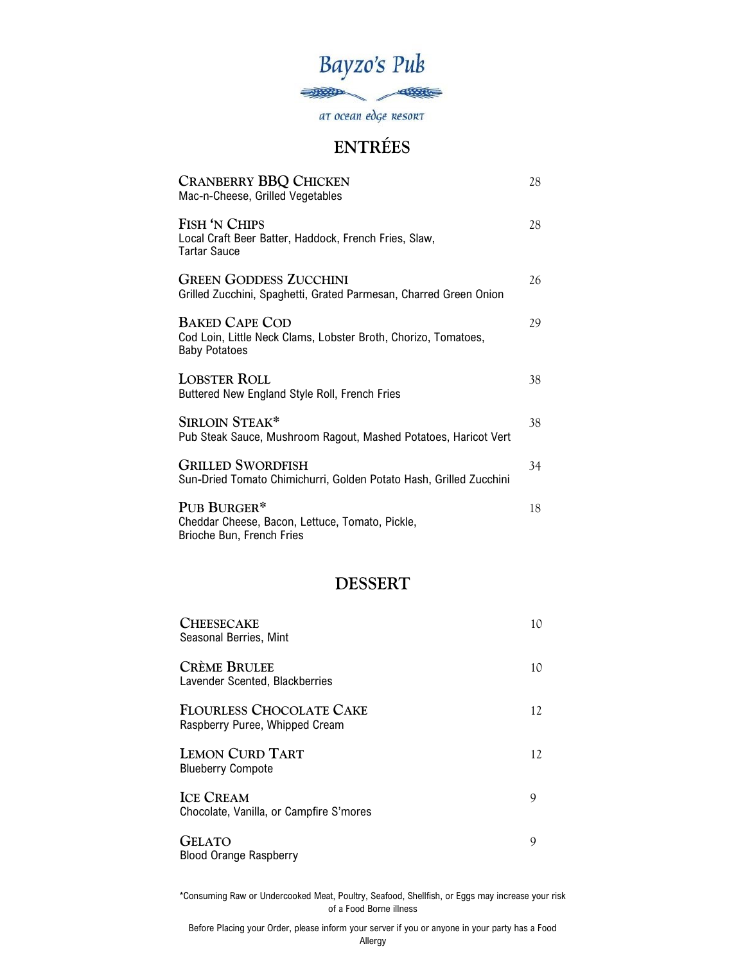

at ocean edge Resort

# **ENTRÉES**

| <b>CRANBERRY BBQ CHICKEN</b><br>Mac-n-Cheese, Grilled Vegetables                                                | 28 |
|-----------------------------------------------------------------------------------------------------------------|----|
| FISH 'N CHIPS<br>Local Craft Beer Batter, Haddock, French Fries, Slaw,<br>Tartar Sauce                          | 28 |
| <b>GREEN GODDESS ZUCCHINI</b><br>Grilled Zucchini, Spaghetti, Grated Parmesan, Charred Green Onion              | 26 |
| <b>BAKED CAPE COD</b><br>Cod Loin, Little Neck Clams, Lobster Broth, Chorizo, Tomatoes,<br><b>Baby Potatoes</b> | 29 |
| <b>LOBSTER ROLL</b><br>Buttered New England Style Roll, French Fries                                            | 38 |
| SIRLOIN STEAK*<br>Pub Steak Sauce, Mushroom Ragout, Mashed Potatoes, Haricot Vert                               | 38 |
| <b>GRILLED SWORDFISH</b><br>Sun-Dried Tomato Chimichurri, Golden Potato Hash, Grilled Zucchini                  | 34 |
| PUB BURGER*<br>Cheddar Cheese, Bacon, Lettuce, Tomato, Pickle,<br>Brioche Bun, French Fries                     | 18 |

#### **DESSERT**

| <b>CHEESECAKE</b><br>Seasonal Berries, Mint                       | 10 |
|-------------------------------------------------------------------|----|
| <b>CRÈME BRULEE</b><br>Lavender Scented, Blackberries             | 10 |
| <b>FLOURLESS CHOCOLATE CAKE</b><br>Raspberry Puree, Whipped Cream | 12 |
| <b>LEMON CURD TART</b><br><b>Blueberry Compote</b>                | 12 |
| <b>ICE CREAM</b><br>Chocolate, Vanilla, or Campfire S'mores       | 9  |
| <b>GELATO</b><br><b>Blood Orange Raspberry</b>                    | 9  |

\*Consuming Raw or Undercooked Meat, Poultry, Seafood, Shellfish, or Eggs may increase your risk of a Food Borne illness

Before Placing your Order, please inform your server if you or anyone in your party has a Food Allergy